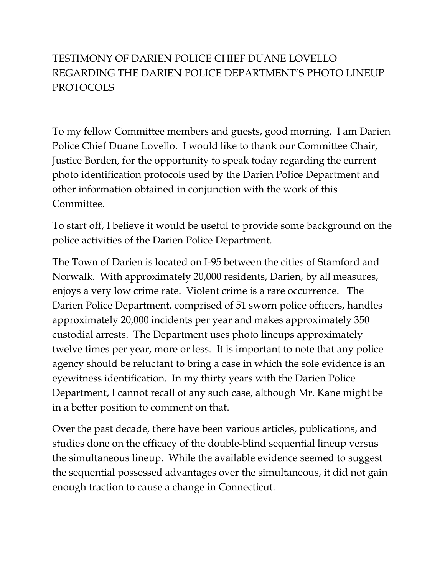## TESTIMONY OF DARIEN POLICE CHIEF DUANE LOVELLO REGARDING THE DARIEN POLICE DEPARTMENT'S PHOTO LINEUP PROTOCOLS

To my fellow Committee members and guests, good morning. I am Darien Police Chief Duane Lovello. I would like to thank our Committee Chair, Justice Borden, for the opportunity to speak today regarding the current photo identification protocols used by the Darien Police Department and other information obtained in conjunction with the work of this Committee.

To start off, I believe it would be useful to provide some background on the police activities of the Darien Police Department.

The Town of Darien is located on I-95 between the cities of Stamford and Norwalk. With approximately 20,000 residents, Darien, by all measures, enjoys a very low crime rate. Violent crime is a rare occurrence. The Darien Police Department, comprised of 51 sworn police officers, handles approximately 20,000 incidents per year and makes approximately 350 custodial arrests. The Department uses photo lineups approximately twelve times per year, more or less. It is important to note that any police agency should be reluctant to bring a case in which the sole evidence is an eyewitness identification. In my thirty years with the Darien Police Department, I cannot recall of any such case, although Mr. Kane might be in a better position to comment on that.

Over the past decade, there have been various articles, publications, and studies done on the efficacy of the double-blind sequential lineup versus the simultaneous lineup. While the available evidence seemed to suggest the sequential possessed advantages over the simultaneous, it did not gain enough traction to cause a change in Connecticut.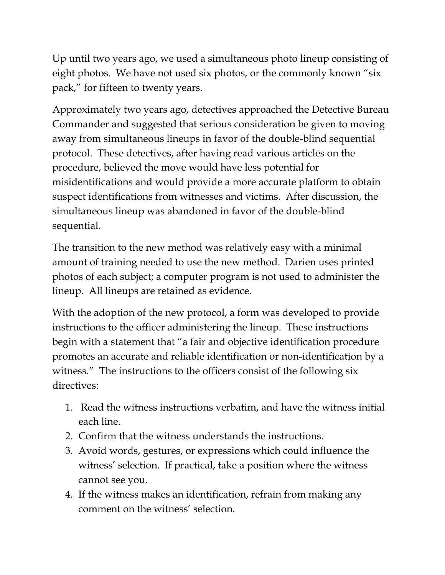Up until two years ago, we used a simultaneous photo lineup consisting of eight photos. We have not used six photos, or the commonly known "six pack," for fifteen to twenty years.

Approximately two years ago, detectives approached the Detective Bureau Commander and suggested that serious consideration be given to moving away from simultaneous lineups in favor of the double-blind sequential protocol. These detectives, after having read various articles on the procedure, believed the move would have less potential for misidentifications and would provide a more accurate platform to obtain suspect identifications from witnesses and victims. After discussion, the simultaneous lineup was abandoned in favor of the double-blind sequential.

The transition to the new method was relatively easy with a minimal amount of training needed to use the new method. Darien uses printed photos of each subject; a computer program is not used to administer the lineup. All lineups are retained as evidence.

With the adoption of the new protocol, a form was developed to provide instructions to the officer administering the lineup. These instructions begin with a statement that "a fair and objective identification procedure promotes an accurate and reliable identification or non-identification by a witness." The instructions to the officers consist of the following six directives:

- 1. Read the witness instructions verbatim, and have the witness initial each line.
- 2. Confirm that the witness understands the instructions.
- 3. Avoid words, gestures, or expressions which could influence the witness' selection. If practical, take a position where the witness cannot see you.
- 4. If the witness makes an identification, refrain from making any comment on the witness' selection.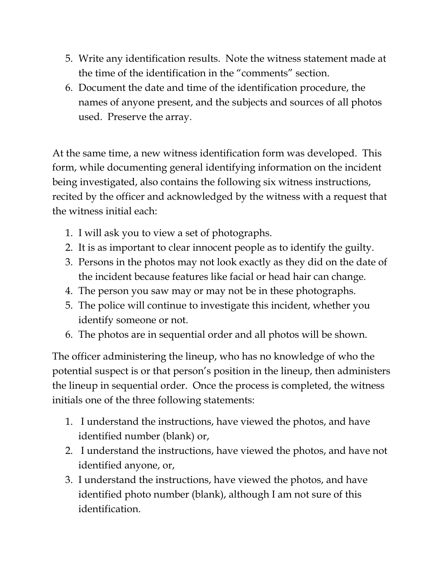- 5. Write any identification results. Note the witness statement made at the time of the identification in the "comments" section.
- 6. Document the date and time of the identification procedure, the names of anyone present, and the subjects and sources of all photos used. Preserve the array.

At the same time, a new witness identification form was developed. This form, while documenting general identifying information on the incident being investigated, also contains the following six witness instructions, recited by the officer and acknowledged by the witness with a request that the witness initial each:

- 1. I will ask you to view a set of photographs.
- 2. It is as important to clear innocent people as to identify the guilty.
- 3. Persons in the photos may not look exactly as they did on the date of the incident because features like facial or head hair can change.
- 4. The person you saw may or may not be in these photographs.
- 5. The police will continue to investigate this incident, whether you identify someone or not.
- 6. The photos are in sequential order and all photos will be shown.

The officer administering the lineup, who has no knowledge of who the potential suspect is or that person's position in the lineup, then administers the lineup in sequential order. Once the process is completed, the witness initials one of the three following statements:

- 1. I understand the instructions, have viewed the photos, and have identified number (blank) or,
- 2. I understand the instructions, have viewed the photos, and have not identified anyone, or,
- 3. I understand the instructions, have viewed the photos, and have identified photo number (blank), although I am not sure of this identification.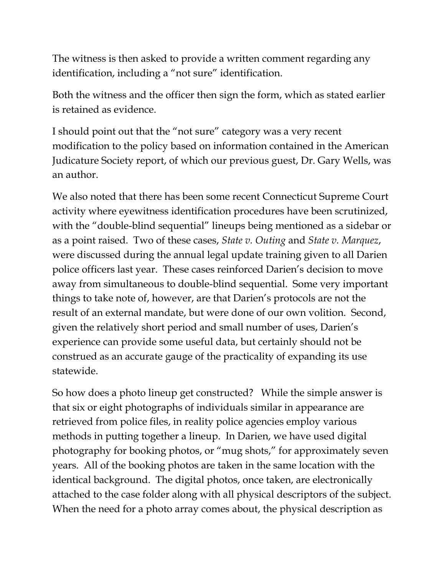The witness is then asked to provide a written comment regarding any identification, including a "not sure" identification.

Both the witness and the officer then sign the form, which as stated earlier is retained as evidence.

I should point out that the "not sure" category was a very recent modification to the policy based on information contained in the American Judicature Society report, of which our previous guest, Dr. Gary Wells, was an author.

We also noted that there has been some recent Connecticut Supreme Court activity where eyewitness identification procedures have been scrutinized, with the "double-blind sequential" lineups being mentioned as a sidebar or as a point raised. Two of these cases, *State v. Outing* and *State v. Marquez*, were discussed during the annual legal update training given to all Darien police officers last year. These cases reinforced Darien's decision to move away from simultaneous to double-blind sequential. Some very important things to take note of, however, are that Darien's protocols are not the result of an external mandate, but were done of our own volition. Second, given the relatively short period and small number of uses, Darien's experience can provide some useful data, but certainly should not be construed as an accurate gauge of the practicality of expanding its use statewide.

So how does a photo lineup get constructed? While the simple answer is that six or eight photographs of individuals similar in appearance are retrieved from police files, in reality police agencies employ various methods in putting together a lineup. In Darien, we have used digital photography for booking photos, or "mug shots," for approximately seven years. All of the booking photos are taken in the same location with the identical background. The digital photos, once taken, are electronically attached to the case folder along with all physical descriptors of the subject. When the need for a photo array comes about, the physical description as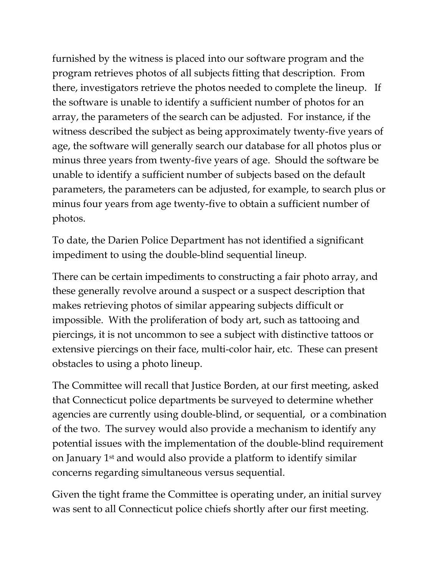furnished by the witness is placed into our software program and the program retrieves photos of all subjects fitting that description. From there, investigators retrieve the photos needed to complete the lineup. If the software is unable to identify a sufficient number of photos for an array, the parameters of the search can be adjusted. For instance, if the witness described the subject as being approximately twenty-five years of age, the software will generally search our database for all photos plus or minus three years from twenty-five years of age. Should the software be unable to identify a sufficient number of subjects based on the default parameters, the parameters can be adjusted, for example, to search plus or minus four years from age twenty-five to obtain a sufficient number of photos.

To date, the Darien Police Department has not identified a significant impediment to using the double-blind sequential lineup.

There can be certain impediments to constructing a fair photo array, and these generally revolve around a suspect or a suspect description that makes retrieving photos of similar appearing subjects difficult or impossible. With the proliferation of body art, such as tattooing and piercings, it is not uncommon to see a subject with distinctive tattoos or extensive piercings on their face, multi-color hair, etc. These can present obstacles to using a photo lineup.

The Committee will recall that Justice Borden, at our first meeting, asked that Connecticut police departments be surveyed to determine whether agencies are currently using double-blind, or sequential, or a combination of the two. The survey would also provide a mechanism to identify any potential issues with the implementation of the double-blind requirement on January 1st and would also provide a platform to identify similar concerns regarding simultaneous versus sequential.

Given the tight frame the Committee is operating under, an initial survey was sent to all Connecticut police chiefs shortly after our first meeting.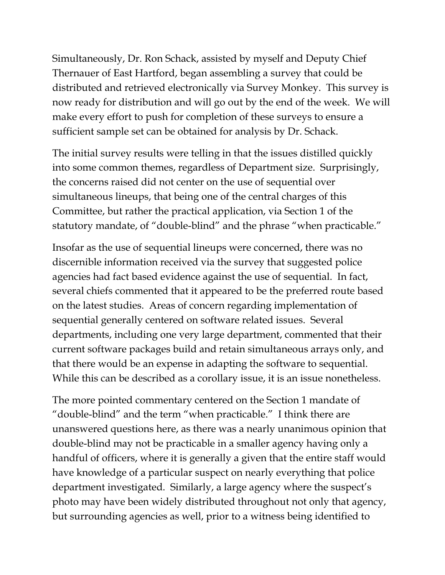Simultaneously, Dr. Ron Schack, assisted by myself and Deputy Chief Thernauer of East Hartford, began assembling a survey that could be distributed and retrieved electronically via Survey Monkey. This survey is now ready for distribution and will go out by the end of the week. We will make every effort to push for completion of these surveys to ensure a sufficient sample set can be obtained for analysis by Dr. Schack.

The initial survey results were telling in that the issues distilled quickly into some common themes, regardless of Department size. Surprisingly, the concerns raised did not center on the use of sequential over simultaneous lineups, that being one of the central charges of this Committee, but rather the practical application, via Section 1 of the statutory mandate, of "double-blind" and the phrase "when practicable."

Insofar as the use of sequential lineups were concerned, there was no discernible information received via the survey that suggested police agencies had fact based evidence against the use of sequential. In fact, several chiefs commented that it appeared to be the preferred route based on the latest studies. Areas of concern regarding implementation of sequential generally centered on software related issues. Several departments, including one very large department, commented that their current software packages build and retain simultaneous arrays only, and that there would be an expense in adapting the software to sequential. While this can be described as a corollary issue, it is an issue nonetheless.

The more pointed commentary centered on the Section 1 mandate of "double-blind" and the term "when practicable." I think there are unanswered questions here, as there was a nearly unanimous opinion that double-blind may not be practicable in a smaller agency having only a handful of officers, where it is generally a given that the entire staff would have knowledge of a particular suspect on nearly everything that police department investigated. Similarly, a large agency where the suspect's photo may have been widely distributed throughout not only that agency, but surrounding agencies as well, prior to a witness being identified to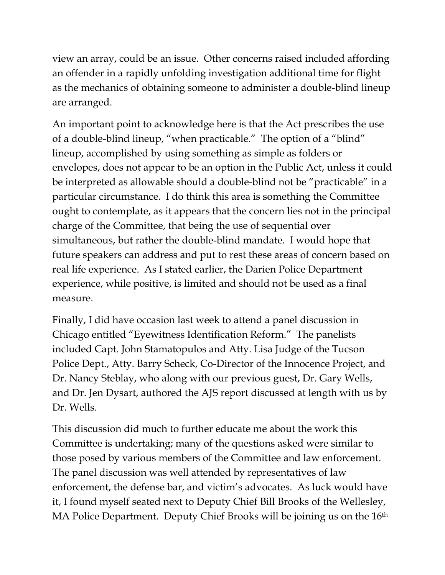view an array, could be an issue. Other concerns raised included affording an offender in a rapidly unfolding investigation additional time for flight as the mechanics of obtaining someone to administer a double-blind lineup are arranged.

An important point to acknowledge here is that the Act prescribes the use of a double-blind lineup, "when practicable." The option of a "blind" lineup, accomplished by using something as simple as folders or envelopes, does not appear to be an option in the Public Act, unless it could be interpreted as allowable should a double-blind not be "practicable" in a particular circumstance. I do think this area is something the Committee ought to contemplate, as it appears that the concern lies not in the principal charge of the Committee, that being the use of sequential over simultaneous, but rather the double-blind mandate. I would hope that future speakers can address and put to rest these areas of concern based on real life experience. As I stated earlier, the Darien Police Department experience, while positive, is limited and should not be used as a final measure.

Finally, I did have occasion last week to attend a panel discussion in Chicago entitled "Eyewitness Identification Reform." The panelists included Capt. John Stamatopulos and Atty. Lisa Judge of the Tucson Police Dept., Atty. Barry Scheck, Co-Director of the Innocence Project, and Dr. Nancy Steblay, who along with our previous guest, Dr. Gary Wells, and Dr. Jen Dysart, authored the AJS report discussed at length with us by Dr. Wells.

This discussion did much to further educate me about the work this Committee is undertaking; many of the questions asked were similar to those posed by various members of the Committee and law enforcement. The panel discussion was well attended by representatives of law enforcement, the defense bar, and victim's advocates. As luck would have it, I found myself seated next to Deputy Chief Bill Brooks of the Wellesley, MA Police Department. Deputy Chief Brooks will be joining us on the 16<sup>th</sup>